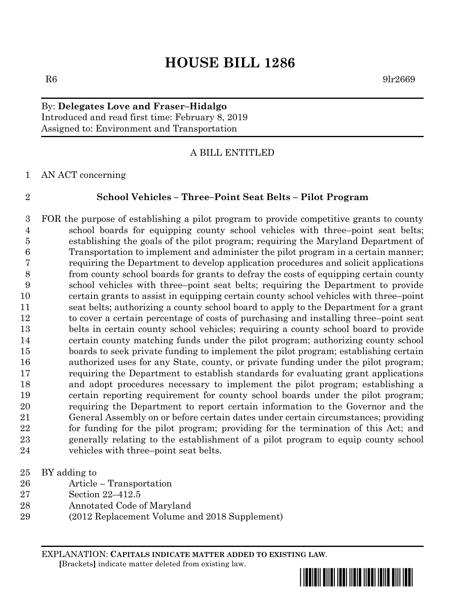# **HOUSE BILL 1286**

### $R6$  9lr2669

# By: **Delegates Love and Fraser–Hidalgo** Introduced and read first time: February 8, 2019 Assigned to: Environment and Transportation

### A BILL ENTITLED

AN ACT concerning

### **School Vehicles – Three–Point Seat Belts – Pilot Program**

 FOR the purpose of establishing a pilot program to provide competitive grants to county school boards for equipping county school vehicles with three–point seat belts; establishing the goals of the pilot program; requiring the Maryland Department of Transportation to implement and administer the pilot program in a certain manner; requiring the Department to develop application procedures and solicit applications from county school boards for grants to defray the costs of equipping certain county school vehicles with three–point seat belts; requiring the Department to provide certain grants to assist in equipping certain county school vehicles with three–point seat belts; authorizing a county school board to apply to the Department for a grant to cover a certain percentage of costs of purchasing and installing three–point seat belts in certain county school vehicles; requiring a county school board to provide certain county matching funds under the pilot program; authorizing county school boards to seek private funding to implement the pilot program; establishing certain authorized uses for any State, county, or private funding under the pilot program; requiring the Department to establish standards for evaluating grant applications and adopt procedures necessary to implement the pilot program; establishing a certain reporting requirement for county school boards under the pilot program; requiring the Department to report certain information to the Governor and the General Assembly on or before certain dates under certain circumstances; providing for funding for the pilot program; providing for the termination of this Act; and generally relating to the establishment of a pilot program to equip county school vehicles with three–point seat belts.

- BY adding to
- Article Transportation
- Section 22–412.5
- Annotated Code of Maryland
- (2012 Replacement Volume and 2018 Supplement)

EXPLANATION: **CAPITALS INDICATE MATTER ADDED TO EXISTING LAW**.  **[**Brackets**]** indicate matter deleted from existing law.

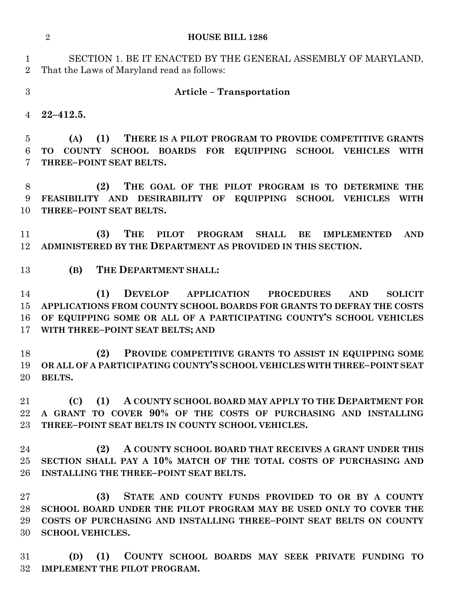|                               | $\overline{2}$<br><b>HOUSE BILL 1286</b>                                                                                                                                                                                                                                    |
|-------------------------------|-----------------------------------------------------------------------------------------------------------------------------------------------------------------------------------------------------------------------------------------------------------------------------|
| $\mathbf 1$<br>$\overline{2}$ | SECTION 1. BE IT ENACTED BY THE GENERAL ASSEMBLY OF MARYLAND,<br>That the Laws of Maryland read as follows:                                                                                                                                                                 |
| 3                             | <b>Article - Transportation</b>                                                                                                                                                                                                                                             |
| 4                             | $22 - 412.5$ .                                                                                                                                                                                                                                                              |
| 5<br>6<br>7                   | THERE IS A PILOT PROGRAM TO PROVIDE COMPETITIVE GRANTS<br>(A)<br>(1)<br>COUNTY SCHOOL BOARDS FOR EQUIPPING SCHOOL VEHICLES<br><b>TO</b><br><b>WITH</b><br>THREE-POINT SEAT BELTS.                                                                                           |
| 8<br>9<br>10                  | (2)<br>THE GOAL OF THE PILOT PROGRAM IS TO DETERMINE THE<br>FEASIBILITY AND DESIRABILITY OF EQUIPPING SCHOOL VEHICLES<br><b>WITH</b><br>THREE-POINT SEAT BELTS.                                                                                                             |
| 11<br>12                      | (3)<br><b>THE</b><br>PILOT PROGRAM<br><b>SHALL</b><br>BE<br><b>IMPLEMENTED</b><br><b>AND</b><br>ADMINISTERED BY THE DEPARTMENT AS PROVIDED IN THIS SECTION.                                                                                                                 |
| 13                            | THE DEPARTMENT SHALL:<br>(B)                                                                                                                                                                                                                                                |
| 14<br>15<br>16<br>17          | (1)<br><b>DEVELOP APPLICATION</b><br><b>PROCEDURES</b><br><b>AND</b><br><b>SOLICIT</b><br>APPLICATIONS FROM COUNTY SCHOOL BOARDS FOR GRANTS TO DEFRAY THE COSTS<br>OF EQUIPPING SOME OR ALL OF A PARTICIPATING COUNTY'S SCHOOL VEHICLES<br>WITH THREE-POINT SEAT BELTS; AND |
| 18<br>19<br>20                | PROVIDE COMPETITIVE GRANTS TO ASSIST IN EQUIPPING SOME<br>(2)<br>OR ALL OF A PARTICIPATING COUNTY'S SCHOOL VEHICLES WITH THREE-POINT SEAT<br><b>BELTS.</b>                                                                                                                  |
| 21<br>$22\,$<br>$23\,$        | A COUNTY SCHOOL BOARD MAY APPLY TO THE DEPARTMENT FOR<br>(1)<br>(C)<br>A GRANT TO COVER 90% OF THE COSTS OF PURCHASING AND INSTALLING<br>THREE-POINT SEAT BELTS IN COUNTY SCHOOL VEHICLES.                                                                                  |
| 24<br>$25\,$<br>$26\,$        | (2)<br>A COUNTY SCHOOL BOARD THAT RECEIVES A GRANT UNDER THIS<br>SECTION SHALL PAY A 10% MATCH OF THE TOTAL COSTS OF PURCHASING AND<br>INSTALLING THE THREE-POINT SEAT BELTS.                                                                                               |
| $27\,$<br>28<br>29<br>30      | (3)<br>STATE AND COUNTY FUNDS PROVIDED TO OR BY A COUNTY<br>SCHOOL BOARD UNDER THE PILOT PROGRAM MAY BE USED ONLY TO COVER THE<br>COSTS OF PURCHASING AND INSTALLING THREE–POINT SEAT BELTS ON COUNTY<br><b>SCHOOL VEHICLES.</b>                                            |
| 31<br>$32\,$                  | COUNTY SCHOOL BOARDS MAY SEEK PRIVATE FUNDING TO<br>(1)<br>(D)<br><b>IMPLEMENT THE PILOT PROGRAM.</b>                                                                                                                                                                       |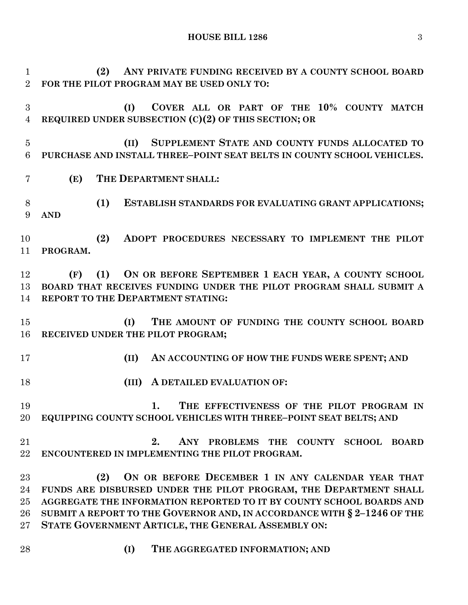**HOUSE BILL 1286** 3

 **(2) ANY PRIVATE FUNDING RECEIVED BY A COUNTY SCHOOL BOARD FOR THE PILOT PROGRAM MAY BE USED ONLY TO:**

 **(I) COVER ALL OR PART OF THE 10% COUNTY MATCH REQUIRED UNDER SUBSECTION (C)(2) OF THIS SECTION; OR**

 **(II) SUPPLEMENT STATE AND COUNTY FUNDS ALLOCATED TO PURCHASE AND INSTALL THREE–POINT SEAT BELTS IN COUNTY SCHOOL VEHICLES.**

**(E) THE DEPARTMENT SHALL:**

 **(1) ESTABLISH STANDARDS FOR EVALUATING GRANT APPLICATIONS; AND**

 **(2) ADOPT PROCEDURES NECESSARY TO IMPLEMENT THE PILOT PROGRAM.**

 **(F) (1) ON OR BEFORE SEPTEMBER 1 EACH YEAR, A COUNTY SCHOOL BOARD THAT RECEIVES FUNDING UNDER THE PILOT PROGRAM SHALL SUBMIT A REPORT TO THE DEPARTMENT STATING:**

 **(I) THE AMOUNT OF FUNDING THE COUNTY SCHOOL BOARD RECEIVED UNDER THE PILOT PROGRAM;**

**(II) AN ACCOUNTING OF HOW THE FUNDS WERE SPENT; AND**

**(III) A DETAILED EVALUATION OF:**

 **1. THE EFFECTIVENESS OF THE PILOT PROGRAM IN EQUIPPING COUNTY SCHOOL VEHICLES WITH THREE–POINT SEAT BELTS; AND**

 **2. ANY PROBLEMS THE COUNTY SCHOOL BOARD ENCOUNTERED IN IMPLEMENTING THE PILOT PROGRAM.**

 **(2) ON OR BEFORE DECEMBER 1 IN ANY CALENDAR YEAR THAT FUNDS ARE DISBURSED UNDER THE PILOT PROGRAM, THE DEPARTMENT SHALL AGGREGATE THE INFORMATION REPORTED TO IT BY COUNTY SCHOOL BOARDS AND SUBMIT A REPORT TO THE GOVERNOR AND, IN ACCORDANCE WITH § 2–1246 OF THE STATE GOVERNMENT ARTICLE, THE GENERAL ASSEMBLY ON:**

- 
- **(I) THE AGGREGATED INFORMATION; AND**